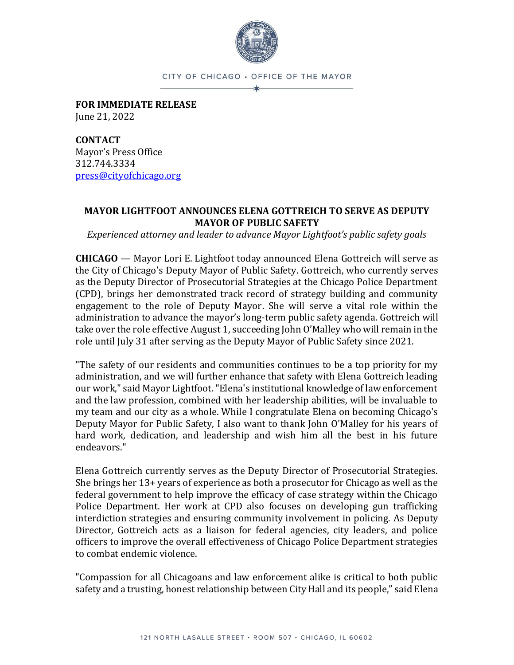

CITY OF CHICAGO · OFFICE OF THE MAYOR

**FOR IMMEDIATE RELEASE** June 21, 2022

**CONTACT** Mayor's Press Office 312.744.3334 [press@cityofchicago.org](mailto:press@cityofchicago.org)

## **MAYOR LIGHTFOOT ANNOUNCES ELENA GOTTREICH TO SERVE AS DEPUTY MAYOR OF PUBLIC SAFETY**

*Experienced attorney and leader to advance Mayor Lightfoot's public safety goals*

**CHICAGO** — Mayor Lori E. Lightfoot today announced Elena Gottreich will serve as the City of Chicago's Deputy Mayor of Public Safety. Gottreich, who currently serves as the Deputy Director of Prosecutorial Strategies at the Chicago Police Department (CPD), brings her demonstrated track record of strategy building and community engagement to the role of Deputy Mayor. She will serve a vital role within the administration to advance the mayor's long-term public safety agenda. Gottreich will take over the role effective August 1, succeeding John O'Malley who will remain in the role until July 31 after serving as the Deputy Mayor of Public Safety since 2021.

"The safety of our residents and communities continues to be a top priority for my administration, and we will further enhance that safety with Elena Gottreich leading our work," said Mayor Lightfoot. "Elena's institutional knowledge of law enforcement and the law profession, combined with her leadership abilities, will be invaluable to my team and our city as a whole. While I congratulate Elena on becoming Chicago's Deputy Mayor for Public Safety, I also want to thank John O'Malley for his years of hard work, dedication, and leadership and wish him all the best in his future endeavors."

Elena Gottreich currently serves as the Deputy Director of Prosecutorial Strategies. She brings her 13+ years of experience as both a prosecutor for Chicago as well as the federal government to help improve the efficacy of case strategy within the Chicago Police Department. Her work at CPD also focuses on developing gun trafficking interdiction strategies and ensuring community involvement in policing. As Deputy Director, Gottreich acts as a liaison for federal agencies, city leaders, and police officers to improve the overall effectiveness of Chicago Police Department strategies to combat endemic violence.

"Compassion for all Chicagoans and law enforcement alike is critical to both public safety and a trusting, honest relationship between City Hall and its people," said Elena